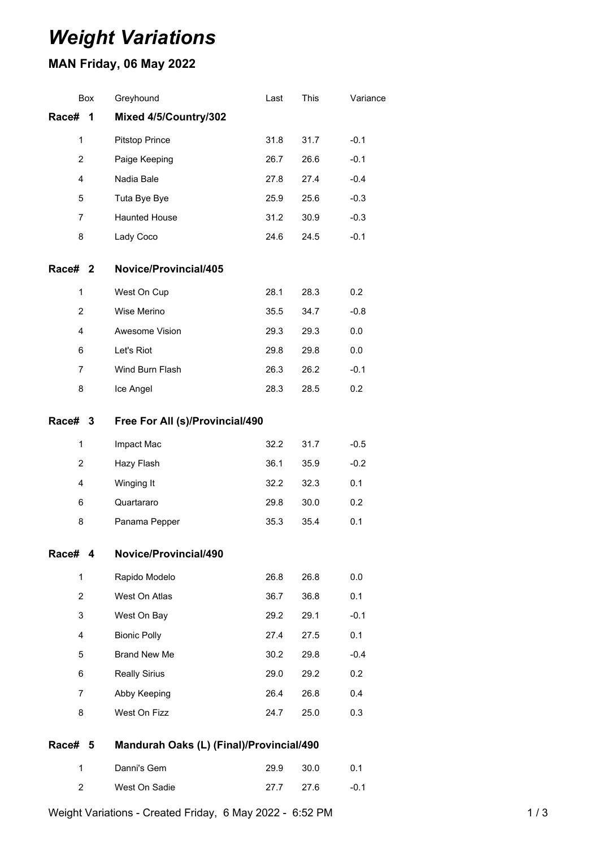## *Weight Variations*

## **MAN Friday, 06 May 2022**

|                | Box                                                  | Greyhound                                | Last | This | Variance |  |
|----------------|------------------------------------------------------|------------------------------------------|------|------|----------|--|
| Race#          | $\overline{\mathbf{1}}$                              | Mixed 4/5/Country/302                    |      |      |          |  |
| $\mathbf{1}$   |                                                      | <b>Pitstop Prince</b>                    | 31.8 | 31.7 | $-0.1$   |  |
| $\overline{2}$ |                                                      | Paige Keeping                            | 26.7 | 26.6 | $-0.1$   |  |
| 4              |                                                      | Nadia Bale                               | 27.8 | 27.4 | $-0.4$   |  |
| 5              |                                                      | Tuta Bye Bye                             | 25.9 | 25.6 | $-0.3$   |  |
| 7              |                                                      | <b>Haunted House</b>                     | 31.2 | 30.9 | $-0.3$   |  |
| 8              |                                                      | Lady Coco                                | 24.6 | 24.5 | $-0.1$   |  |
| Race# 2        |                                                      | Novice/Provincial/405                    |      |      |          |  |
| $\mathbf{1}$   |                                                      | West On Cup                              | 28.1 | 28.3 | 0.2      |  |
| 2              |                                                      | Wise Merino                              | 35.5 | 34.7 | $-0.8$   |  |
| 4              |                                                      | Awesome Vision                           | 29.3 | 29.3 | 0.0      |  |
| 6              |                                                      | Let's Riot                               | 29.8 | 29.8 | 0.0      |  |
| $\overline{7}$ |                                                      | Wind Burn Flash                          | 26.3 | 26.2 | $-0.1$   |  |
| 8              |                                                      | Ice Angel                                | 28.3 | 28.5 | 0.2      |  |
|                | Free For All (s)/Provincial/490<br><b>Race#</b><br>3 |                                          |      |      |          |  |
| $\mathbf{1}$   |                                                      | Impact Mac                               | 32.2 | 31.7 | $-0.5$   |  |
| $\overline{2}$ |                                                      | Hazy Flash                               | 36.1 | 35.9 | $-0.2$   |  |
| 4              |                                                      | Winging It                               | 32.2 | 32.3 | 0.1      |  |
| 6              |                                                      | Quartararo                               | 29.8 | 30.0 | 0.2      |  |
| 8              |                                                      | Panama Pepper                            | 35.3 | 35.4 | 0.1      |  |
| Race#          | 4                                                    | Novice/Provincial/490                    |      |      |          |  |
| 1              |                                                      | Rapido Modelo                            | 26.8 | 26.8 | 0.0      |  |
| $\overline{2}$ |                                                      | West On Atlas                            | 36.7 | 36.8 | 0.1      |  |
| 3              |                                                      | West On Bay                              | 29.2 | 29.1 | $-0.1$   |  |
| 4              |                                                      | <b>Bionic Polly</b>                      | 27.4 | 27.5 | 0.1      |  |
| 5              |                                                      | <b>Brand New Me</b>                      | 30.2 | 29.8 | $-0.4$   |  |
| 6              |                                                      | <b>Really Sirius</b>                     | 29.0 | 29.2 | 0.2      |  |
| 7              |                                                      | Abby Keeping                             | 26.4 | 26.8 | 0.4      |  |
| 8              |                                                      | West On Fizz                             | 24.7 | 25.0 | 0.3      |  |
| <b>Race#</b>   | 5                                                    | Mandurah Oaks (L) (Final)/Provincial/490 |      |      |          |  |
| $\mathbf{1}$   |                                                      | Danni's Gem                              | 29.9 | 30.0 | 0.1      |  |
| 2              |                                                      | West On Sadie                            | 27.7 | 27.6 | $-0.1$   |  |
|                |                                                      |                                          |      |      |          |  |

Weight Variations - Created Friday, 6 May 2022 - 6:52 PM 1 / 3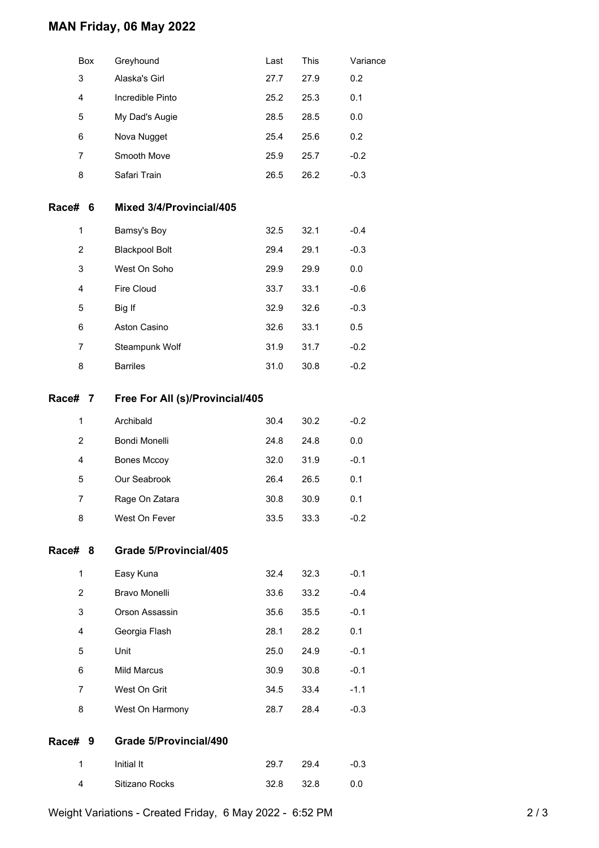## **MAN Friday, 06 May 2022**

|                | Box | Greyhound                       | Last | This | Variance |  |  |
|----------------|-----|---------------------------------|------|------|----------|--|--|
| 3              |     | Alaska's Girl                   | 27.7 | 27.9 | 0.2      |  |  |
| 4              |     | Incredible Pinto                | 25.2 | 25.3 | 0.1      |  |  |
| 5              |     | My Dad's Augie                  | 28.5 | 28.5 | 0.0      |  |  |
| 6              |     | Nova Nugget                     | 25.4 | 25.6 | 0.2      |  |  |
| 7              |     | Smooth Move                     | 25.9 | 25.7 | $-0.2$   |  |  |
| 8              |     | Safari Train                    | 26.5 | 26.2 | $-0.3$   |  |  |
| Race#          | 6   | Mixed 3/4/Provincial/405        |      |      |          |  |  |
| 1              |     | Bamsy's Boy                     | 32.5 | 32.1 | $-0.4$   |  |  |
| $\overline{2}$ |     | <b>Blackpool Bolt</b>           | 29.4 | 29.1 | $-0.3$   |  |  |
| 3              |     | West On Soho                    | 29.9 | 29.9 | 0.0      |  |  |
| 4              |     | Fire Cloud                      | 33.7 | 33.1 | $-0.6$   |  |  |
| 5              |     | Big If                          | 32.9 | 32.6 | $-0.3$   |  |  |
| 6              |     | Aston Casino                    | 32.6 | 33.1 | 0.5      |  |  |
| $\overline{7}$ |     | Steampunk Wolf                  | 31.9 | 31.7 | $-0.2$   |  |  |
| 8              |     | <b>Barriles</b>                 | 31.0 | 30.8 | $-0.2$   |  |  |
| Race#          | - 7 | Free For All (s)/Provincial/405 |      |      |          |  |  |
| 1              |     | Archibald                       | 30.4 | 30.2 | $-0.2$   |  |  |
| $\overline{2}$ |     | Bondi Monelli                   | 24.8 | 24.8 | 0.0      |  |  |
| 4              |     | <b>Bones Mccoy</b>              | 32.0 | 31.9 | $-0.1$   |  |  |
| 5              |     | Our Seabrook                    | 26.4 | 26.5 | 0.1      |  |  |
| 7              |     | Rage On Zatara                  | 30.8 | 30.9 | 0.1      |  |  |
| 8              |     | West On Fever                   | 33.5 | 33.3 | $-0.2$   |  |  |
| Race# 8        |     | Grade 5/Provincial/405          |      |      |          |  |  |
| 1              |     | Easy Kuna                       | 32.4 | 32.3 | $-0.1$   |  |  |
| $\overline{2}$ |     | Bravo Monelli                   | 33.6 | 33.2 | $-0.4$   |  |  |
| 3              |     | Orson Assassin                  | 35.6 | 35.5 | $-0.1$   |  |  |
| 4              |     | Georgia Flash                   | 28.1 | 28.2 | 0.1      |  |  |
| 5              |     | Unit                            | 25.0 | 24.9 | $-0.1$   |  |  |
| 6              |     | Mild Marcus                     | 30.9 | 30.8 | $-0.1$   |  |  |
| $\overline{7}$ |     | West On Grit                    | 34.5 | 33.4 | $-1.1$   |  |  |
| 8              |     | West On Harmony                 | 28.7 | 28.4 | $-0.3$   |  |  |
| Race# 9        |     | <b>Grade 5/Provincial/490</b>   |      |      |          |  |  |
| 1              |     | Initial It                      | 29.7 | 29.4 | $-0.3$   |  |  |
| 4              |     | Sitizano Rocks                  | 32.8 | 32.8 | 0.0      |  |  |
|                |     |                                 |      |      |          |  |  |

Weight Variations - Created Friday, 6 May 2022 - 6:52 PM 2/3